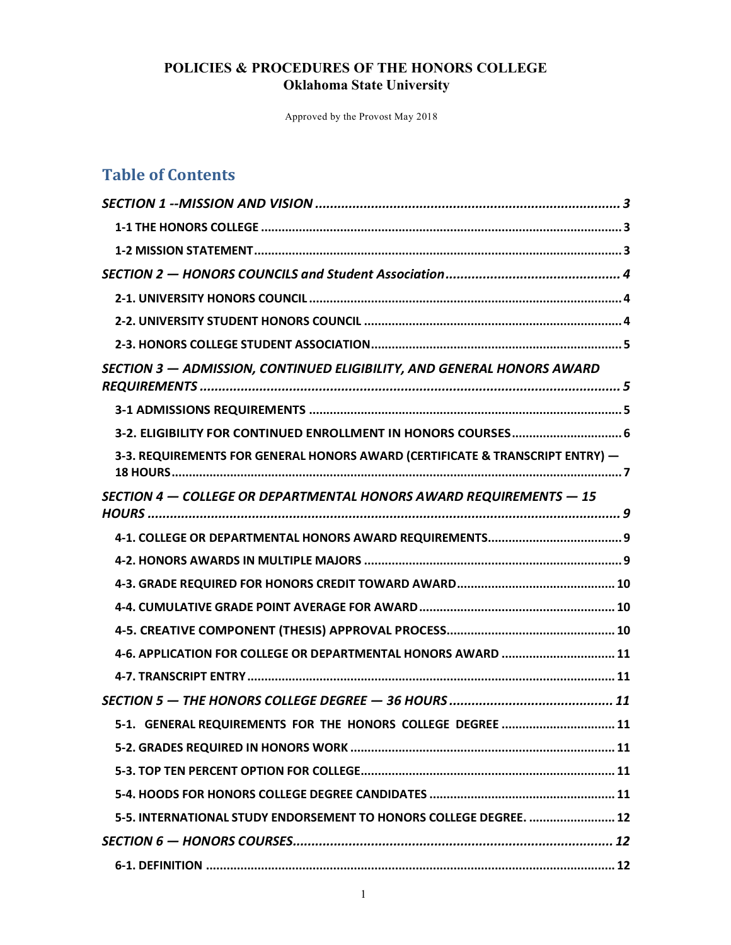Approved by the Provost May 2018

# **Table of Contents**

| SECTION 3 - ADMISSION, CONTINUED ELIGIBILITY, AND GENERAL HONORS AWARD        |
|-------------------------------------------------------------------------------|
|                                                                               |
| 3-2. ELIGIBILITY FOR CONTINUED ENROLLMENT IN HONORS COURSES 6                 |
| 3-3. REQUIREMENTS FOR GENERAL HONORS AWARD (CERTIFICATE & TRANSCRIPT ENTRY) - |
| SECTION 4 - COLLEGE OR DEPARTMENTAL HONORS AWARD REQUIREMENTS - 15            |
|                                                                               |
|                                                                               |
|                                                                               |
|                                                                               |
|                                                                               |
| 4-6. APPLICATION FOR COLLEGE OR DEPARTMENTAL HONORS AWARD  11                 |
|                                                                               |
|                                                                               |
| 5-1. GENERAL REQUIREMENTS FOR THE HONORS COLLEGE DEGREE  11                   |
|                                                                               |
|                                                                               |
|                                                                               |
| 5-5. INTERNATIONAL STUDY ENDORSEMENT TO HONORS COLLEGE DEGREE.  12            |
|                                                                               |
|                                                                               |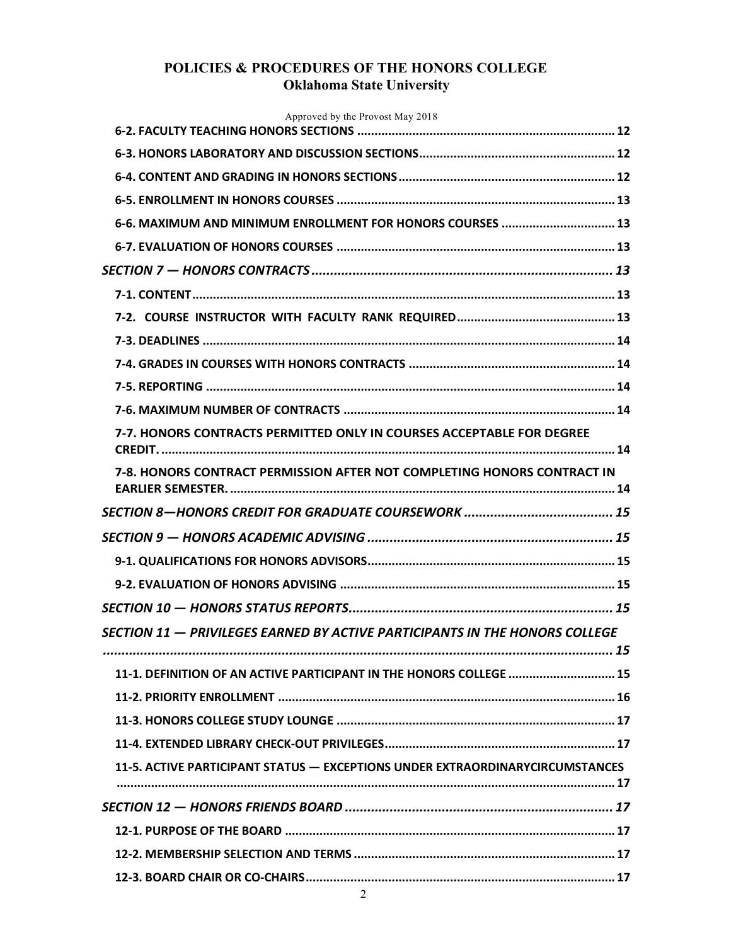| Approved by the Provost May 2018                                              |  |
|-------------------------------------------------------------------------------|--|
|                                                                               |  |
|                                                                               |  |
|                                                                               |  |
|                                                                               |  |
| 6-6. MAXIMUM AND MINIMUM ENROLLMENT FOR HONORS COURSES  13                    |  |
|                                                                               |  |
|                                                                               |  |
|                                                                               |  |
|                                                                               |  |
|                                                                               |  |
|                                                                               |  |
|                                                                               |  |
|                                                                               |  |
| 7-7. HONORS CONTRACTS PERMITTED ONLY IN COURSES ACCEPTABLE FOR DEGREE         |  |
| 7-8. HONORS CONTRACT PERMISSION AFTER NOT COMPLETING HONORS CONTRACT IN       |  |
|                                                                               |  |
|                                                                               |  |
|                                                                               |  |
|                                                                               |  |
|                                                                               |  |
| SECTION 11 - PRIVILEGES EARNED BY ACTIVE PARTICIPANTS IN THE HONORS COLLEGE   |  |
| 11-1. DEFINITION OF AN ACTIVE PARTICIPANT IN THE HONORS COLLEGE  15           |  |
|                                                                               |  |
|                                                                               |  |
|                                                                               |  |
| 11-5. ACTIVE PARTICIPANT STATUS - EXCEPTIONS UNDER EXTRAORDINARYCIRCUMSTANCES |  |
|                                                                               |  |
|                                                                               |  |
|                                                                               |  |
|                                                                               |  |
|                                                                               |  |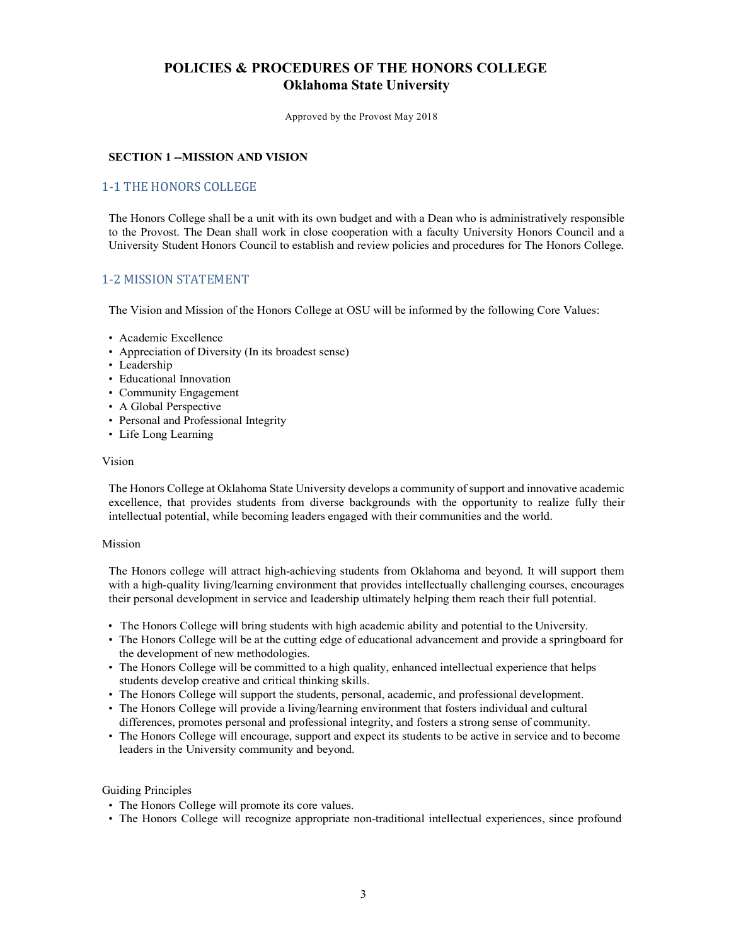Approved by the Provost May 2018

#### **SECTION 1 --MISSION AND VISION**

### 1-1 THE HONORS COLLEGE

The Honors College shall be a unit with its own budget and with a Dean who is administratively responsible to the Provost. The Dean shall work in close cooperation with a faculty University Honors Council and a University Student Honors Council to establish and review policies and procedures for The Honors College.

### 1-2 MISSION STATEMENT

The Vision and Mission of the Honors College at OSU will be informed by the following Core Values:

- Academic Excellence
- Appreciation of Diversity (In its broadest sense)
- Leadership
- Educational Innovation
- Community Engagement
- A Global Perspective
- Personal and Professional Integrity
- Life Long Learning

#### Vision

The Honors College at Oklahoma State University develops a community ofsupport and innovative academic excellence, that provides students from diverse backgrounds with the opportunity to realize fully their intellectual potential, while becoming leaders engaged with their communities and the world.

#### Mission

The Honors college will attract high-achieving students from Oklahoma and beyond. It will support them with a high-quality living/learning environment that provides intellectually challenging courses, encourages their personal development in service and leadership ultimately helping them reach their full potential.

- The Honors College will bring students with high academic ability and potential to the University.
- The Honors College will be at the cutting edge of educational advancement and provide a springboard for the development of new methodologies.
- The Honors College will be committed to a high quality, enhanced intellectual experience that helps students develop creative and critical thinking skills.
- The Honors College will support the students, personal, academic, and professional development.
- The Honors College will provide a living/learning environment that fosters individual and cultural differences, promotes personal and professional integrity, and fosters a strong sense of community.
- The Honors College will encourage, support and expect its students to be active in service and to become leaders in the University community and beyond.

#### Guiding Principles

- The Honors College will promote its core values.
- The Honors College will recognize appropriate non-traditional intellectual experiences, since profound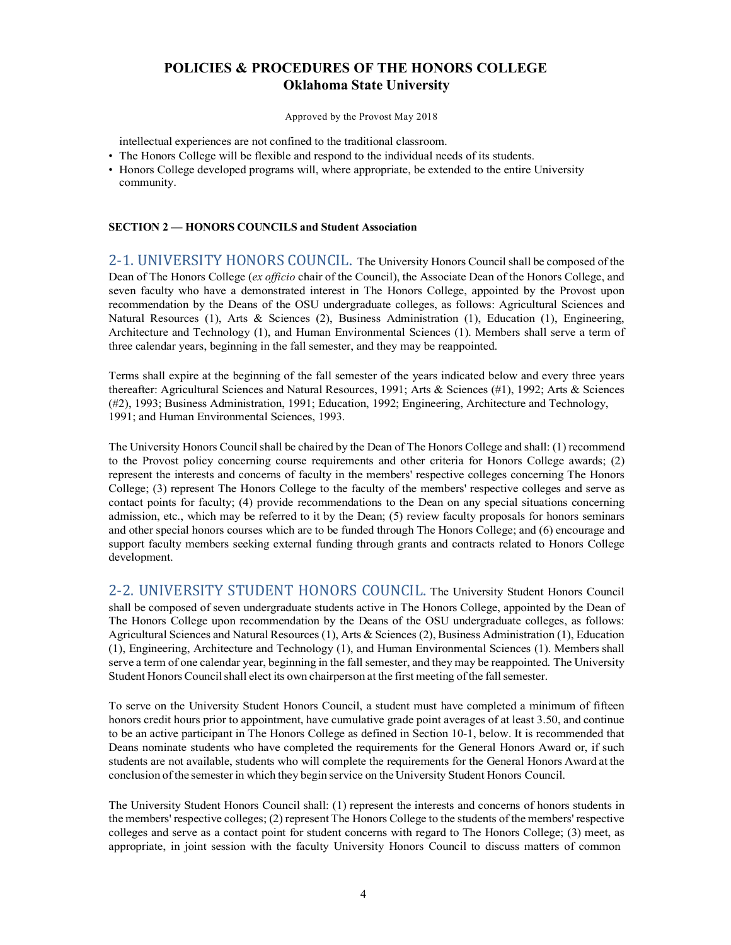Approved by the Provost May 2018

intellectual experiences are not confined to the traditional classroom.

- The Honors College will be flexible and respond to the individual needs of its students.
- Honors College developed programs will, where appropriate, be extended to the entire University community.

#### **SECTION 2 — HONORS COUNCILS and Student Association**

2-1. UNIVERSITY HONORS COUNCIL. The University Honors Council shall be composed of the Dean of The Honors College (*ex officio* chair of the Council), the Associate Dean of the Honors College, and seven faculty who have a demonstrated interest in The Honors College, appointed by the Provost upon recommendation by the Deans of the OSU undergraduate colleges, as follows: Agricultural Sciences and Natural Resources (1), Arts & Sciences (2), Business Administration (1), Education (1), Engineering, Architecture and Technology (1), and Human Environmental Sciences (1). Members shall serve a term of three calendar years, beginning in the fall semester, and they may be reappointed.

Terms shall expire at the beginning of the fall semester of the years indicated below and every three years thereafter: Agricultural Sciences and Natural Resources, 1991; Arts & Sciences (#1), 1992; Arts & Sciences (#2), 1993; Business Administration, 1991; Education, 1992; Engineering, Architecture and Technology, 1991; and Human Environmental Sciences, 1993.

The University Honors Council shall be chaired by the Dean of The Honors College and shall: (1) recommend to the Provost policy concerning course requirements and other criteria for Honors College awards; (2) represent the interests and concerns of faculty in the members' respective colleges concerning The Honors College; (3) represent The Honors College to the faculty of the members' respective colleges and serve as contact points for faculty; (4) provide recommendations to the Dean on any special situations concerning admission, etc., which may be referred to it by the Dean; (5) review faculty proposals for honors seminars and other special honors courses which are to be funded through The Honors College; and (6) encourage and support faculty members seeking external funding through grants and contracts related to Honors College development.

2-2. UNIVERSITY STUDENT HONORS COUNCIL. The University Student Honors Council shall be composed of seven undergraduate students active in The Honors College, appointed by the Dean of The Honors College upon recommendation by the Deans of the OSU undergraduate colleges, as follows: Agricultural Sciences and Natural Resources (1), Arts & Sciences (2), Business Administration (1), Education (1), Engineering, Architecture and Technology (1), and Human Environmental Sciences (1). Members shall serve a term of one calendar year, beginning in the fall semester, and they may be reappointed. The University Student Honors Council shall elect its own chairperson at the first meeting of the fall semester.

To serve on the University Student Honors Council, a student must have completed a minimum of fifteen honors credit hours prior to appointment, have cumulative grade point averages of at least 3.50, and continue to be an active participant in The Honors College as defined in Section 10-1, below. It is recommended that Deans nominate students who have completed the requirements for the General Honors Award or, if such students are not available, students who will complete the requirements for the General Honors Award at the conclusion of the semesterin which they begin service on the University Student Honors Council.

The University Student Honors Council shall: (1) represent the interests and concerns of honors students in the members' respective colleges; (2) represent The Honors College to the students of the members' respective colleges and serve as a contact point for student concerns with regard to The Honors College; (3) meet, as appropriate, in joint session with the faculty University Honors Council to discuss matters of common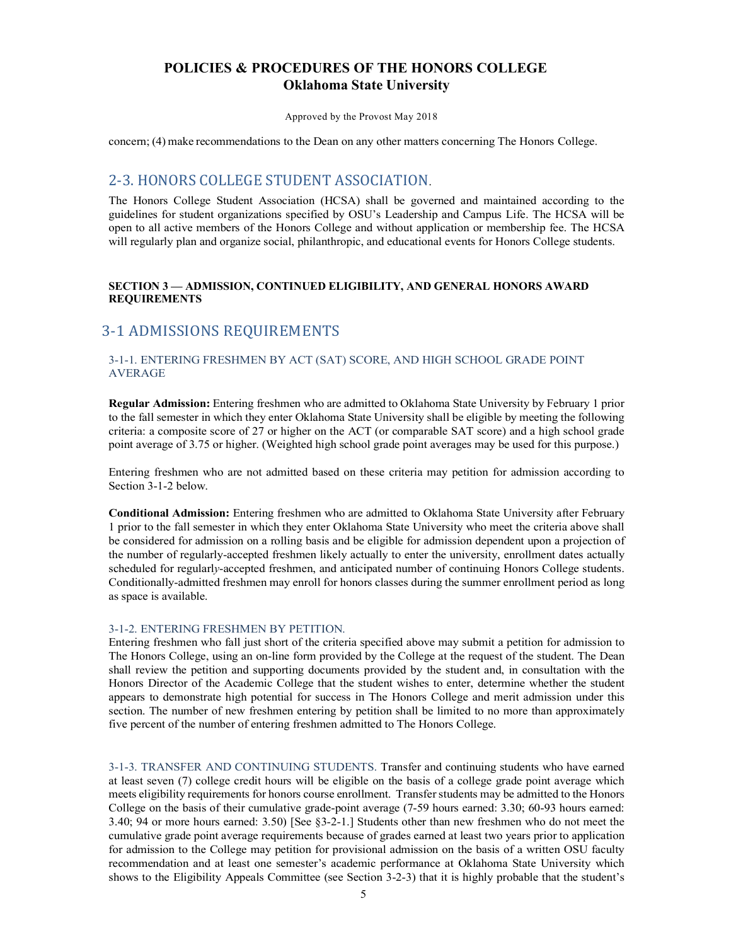Approved by the Provost May 2018

concern; (4) make recommendations to the Dean on any other matters concerning The Honors College.

## 2-3. HONORS COLLEGE STUDENT ASSOCIATION

The Honors College Student Association (HCSA) shall be governed and maintained according to the guidelines for student organizations specified by OSU's Leadership and Campus Life. The HCSA will be open to all active members of the Honors College and without application or membership fee. The HCSA will regularly plan and organize social, philanthropic, and educational events for Honors College students.

### **SECTION 3 — ADMISSION, CONTINUED ELIGIBILITY, AND GENERAL HONORS AWARD REQUIREMENTS**

## 3-1 ADMISSIONS REQUIREMENTS

#### 3-1-1. ENTERING FRESHMEN BY ACT (SAT) SCORE, AND HIGH SCHOOL GRADE POINT AVERAGE

**Regular Admission:** Entering freshmen who are admitted to Oklahoma State University by February 1 prior to the fall semester in which they enter Oklahoma State University shall be eligible by meeting the following criteria: a composite score of 27 or higher on the ACT (or comparable SAT score) and a high school grade point average of 3.75 or higher. (Weighted high school grade point averages may be used for this purpose.)

Entering freshmen who are not admitted based on these criteria may petition for admission according to Section 3-1-2 below.

**Conditional Admission:** Entering freshmen who are admitted to Oklahoma State University after February 1 prior to the fall semester in which they enter Oklahoma State University who meet the criteria above shall be considered for admission on a rolling basis and be eligible for admission dependent upon a projection of the number of regularly-accepted freshmen likely actually to enter the university, enrollment dates actually scheduled for regularl*y*-accepted freshmen, and anticipated number of continuing Honors College students. Conditionally-admitted freshmen may enroll for honors classes during the summer enrollment period as long as space is available.

#### 3-1-2. ENTERING FRESHMEN BY PETITION.

Entering freshmen who fall just short of the criteria specified above may submit a petition for admission to The Honors College, using an on-line form provided by the College at the request of the student. The Dean shall review the petition and supporting documents provided by the student and, in consultation with the Honors Director of the Academic College that the student wishes to enter, determine whether the student appears to demonstrate high potential for success in The Honors College and merit admission under this section. The number of new freshmen entering by petition shall be limited to no more than approximately five percent of the number of entering freshmen admitted to The Honors College.

3-1-3. TRANSFER AND CONTINUING STUDENTS. Transfer and continuing students who have earned at least seven (7) college credit hours will be eligible on the basis of a college grade point average which meets eligibility requirements for honors course enrollment. Transferstudents may be admitted to the Honors College on the basis of their cumulative grade-point average (7-59 hours earned: 3.30; 60-93 hours earned: 3.40; 94 or more hours earned: 3.50) [See §3-2-1.] Students other than new freshmen who do not meet the cumulative grade point average requirements because of grades earned at least two years prior to application for admission to the College may petition for provisional admission on the basis of a written OSU faculty recommendation and at least one semester's academic performance at Oklahoma State University which shows to the Eligibility Appeals Committee (see Section 3-2-3) that it is highly probable that the student's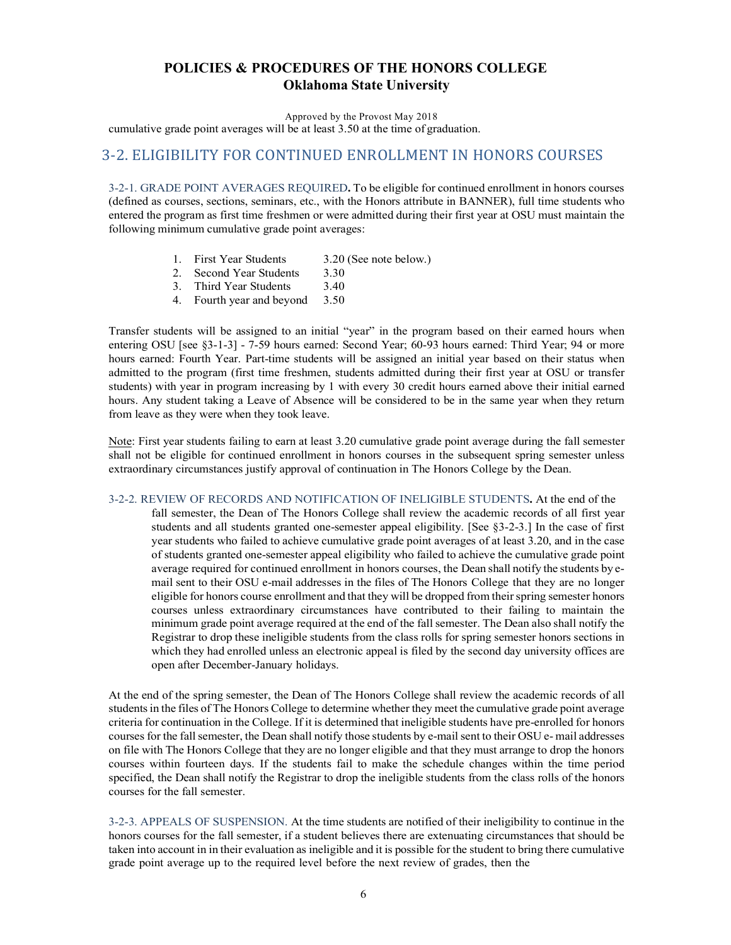Approved by the Provost May 2018

cumulative grade point averages will be at least 3.50 at the time of graduation.

## 3-2. ELIGIBILITY FOR CONTINUED ENROLLMENT IN HONORS COURSES

3-2-1. GRADE POINT AVERAGES REQUIRED**.** To be eligible for continued enrollment in honors courses (defined as courses, sections, seminars, etc., with the Honors attribute in BANNER), full time students who entered the program as first time freshmen or were admitted during their first year at OSU must maintain the following minimum cumulative grade point averages:

- 1. First Year Students 3.20 (See note below.)
- 2. Second Year Students 3.30
- 3. Third Year Students 3.40
- 4. Fourth year and beyond 3.50

Transfer students will be assigned to an initial "year" in the program based on their earned hours when entering OSU [see §3-1-3] - 7-59 hours earned: Second Year; 60-93 hours earned: Third Year; 94 or more hours earned: Fourth Year. Part-time students will be assigned an initial year based on their status when admitted to the program (first time freshmen, students admitted during their first year at OSU or transfer students) with year in program increasing by 1 with every 30 credit hours earned above their initial earned hours. Any student taking a Leave of Absence will be considered to be in the same year when they return from leave as they were when they took leave.

Note: First year students failing to earn at least 3.20 cumulative grade point average during the fall semester shall not be eligible for continued enrollment in honors courses in the subsequent spring semester unless extraordinary circumstances justify approval of continuation in The Honors College by the Dean.

3-2-2. REVIEW OF RECORDS AND NOTIFICATION OF INELIGIBLE STUDENTS**.** At the end of the

fall semester, the Dean of The Honors College shall review the academic records of all first year students and all students granted one-semester appeal eligibility. [See §3-2-3.] In the case of first year students who failed to achieve cumulative grade point averages of at least 3.20, and in the case of students granted one-semester appeal eligibility who failed to achieve the cumulative grade point average required for continued enrollment in honors courses, the Dean shall notify the students by email sent to their OSU e-mail addresses in the files of The Honors College that they are no longer eligible for honors course enrollment and that they will be dropped from their spring semester honors courses unless extraordinary circumstances have contributed to their failing to maintain the minimum grade point average required at the end of the fall semester. The Dean also shall notify the Registrar to drop these ineligible students from the class rolls for spring semester honors sections in which they had enrolled unless an electronic appeal is filed by the second day university offices are open after December-January holidays.

At the end of the spring semester, the Dean of The Honors College shall review the academic records of all studentsin the files of The Honors College to determine whether they meet the cumulative grade point average criteria for continuation in the College. If it is determined that ineligible students have pre-enrolled for honors courses for the fall semester, the Dean shall notify those students by e-mail sent to their OSU e- mail addresses on file with The Honors College that they are no longer eligible and that they must arrange to drop the honors courses within fourteen days. If the students fail to make the schedule changes within the time period specified, the Dean shall notify the Registrar to drop the ineligible students from the class rolls of the honors courses for the fall semester.

3-2-3. APPEALS OF SUSPENSION. At the time students are notified of their ineligibility to continue in the honors courses for the fall semester, if a student believes there are extenuating circumstances that should be taken into account in in their evaluation as ineligible and it is possible for the student to bring there cumulative grade point average up to the required level before the next review of grades, then the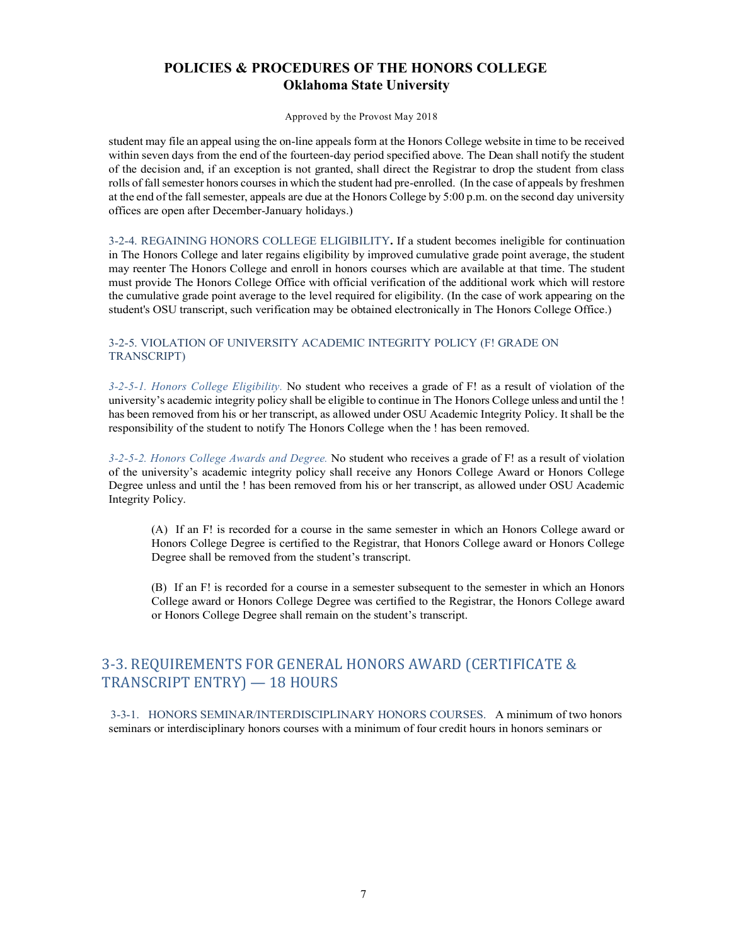Approved by the Provost May 2018

student may file an appeal using the on-line appeals form at the Honors College website in time to be received within seven days from the end of the fourteen-day period specified above. The Dean shall notify the student of the decision and, if an exception is not granted, shall direct the Registrar to drop the student from class rolls of fallsemester honors courses in which the student had pre-enrolled. (In the case of appeals by freshmen at the end of the fallsemester, appeals are due at the Honors College by 5:00 p.m. on the second day university offices are open after December-January holidays.)

3-2-4. REGAINING HONORS COLLEGE ELIGIBILITY**.** If a student becomes ineligible for continuation in The Honors College and later regains eligibility by improved cumulative grade point average, the student may reenter The Honors College and enroll in honors courses which are available at that time. The student must provide The Honors College Office with official verification of the additional work which will restore the cumulative grade point average to the level required for eligibility. (In the case of work appearing on the student's OSU transcript, such verification may be obtained electronically in The Honors College Office.)

### 3-2-5. VIOLATION OF UNIVERSITY ACADEMIC INTEGRITY POLICY (F! GRADE ON TRANSCRIPT)

*3-2-5-1. Honors College Eligibility.* No student who receives a grade of F! as a result of violation of the university's academic integrity policy shall be eligible to continue in The Honors College unless and until the ! has been removed from his or her transcript, as allowed under OSU Academic Integrity Policy. It shall be the responsibility of the student to notify The Honors College when the ! has been removed.

*3-2-5-2. Honors College Awards and Degree.* No student who receives a grade of F! as a result of violation of the university's academic integrity policy shall receive any Honors College Award or Honors College Degree unless and until the ! has been removed from his or her transcript, as allowed under OSU Academic Integrity Policy.

(A) If an F! is recorded for a course in the same semester in which an Honors College award or Honors College Degree is certified to the Registrar, that Honors College award or Honors College Degree shall be removed from the student's transcript.

(B) If an F! is recorded for a course in a semester subsequent to the semester in which an Honors College award or Honors College Degree was certified to the Registrar, the Honors College award or Honors College Degree shall remain on the student's transcript.

# 3-3. REQUIREMENTS FOR GENERAL HONORS AWARD (CERTIFICATE & TRANSCRIPT ENTRY) - 18 HOURS

3-3-1. HONORS SEMINAR/INTERDISCIPLINARY HONORS COURSES. A minimum of two honors seminars or interdisciplinary honors courses with a minimum of four credit hours in honors seminars or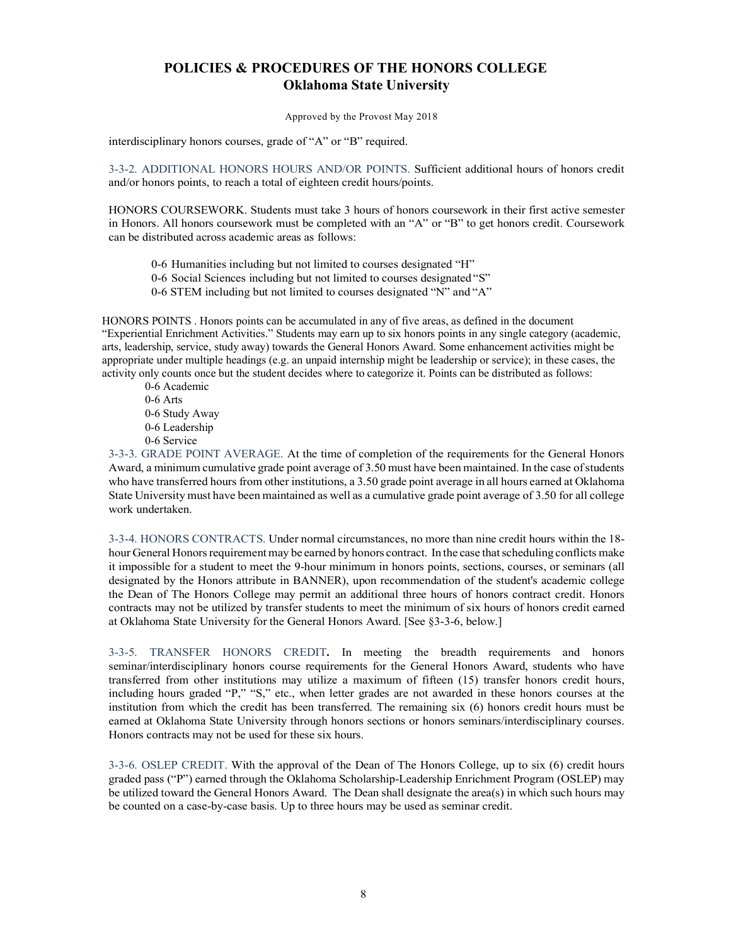Approved by the Provost May 2018

interdisciplinary honors courses, grade of "A" or "B" required.

3-3-2. ADDITIONAL HONORS HOURS AND/OR POINTS. Sufficient additional hours of honors credit and/or honors points, to reach a total of eighteen credit hours/points.

HONORS COURSEWORK. Students must take 3 hours of honors coursework in their first active semester in Honors. All honors coursework must be completed with an "A" or "B" to get honors credit. Coursework can be distributed across academic areas as follows:

0-6 Humanities including but not limited to courses designated "H"

0-6 Social Sciences including but not limited to courses designated "S"

0-6 STEM including but not limited to courses designated "N" and "A"

HONORS POINTS . Honors points can be accumulated in any of five areas, as defined in the document "Experiential Enrichment Activities." Students may earn up to six honors points in any single category (academic, arts, leadership, service, study away) towards the General Honors Award. Some enhancement activities might be appropriate under multiple headings (e.g. an unpaid internship might be leadership or service); in these cases, the activity only counts once but the student decides where to categorize it. Points can be distributed as follows:

0-6 Academic 0-6 Arts 0-6 Study Away 0-6 Leadership 0-6 Service

3-3-3. GRADE POINT AVERAGE. At the time of completion of the requirements for the General Honors Award, a minimum cumulative grade point average of 3.50 must have been maintained. In the case ofstudents who have transferred hours from other institutions, a 3.50 grade point average in all hours earned at Oklahoma State University must have been maintained as well as a cumulative grade point average of 3.50 for all college work undertaken.

3-3-4. HONORS CONTRACTS. Under normal circumstances, no more than nine credit hours within the 18 hour General Honors requirement may be earned by honors contract. In the case that scheduling conflicts make it impossible for a student to meet the 9-hour minimum in honors points, sections, courses, or seminars (all designated by the Honors attribute in BANNER), upon recommendation of the student's academic college the Dean of The Honors College may permit an additional three hours of honors contract credit. Honors contracts may not be utilized by transfer students to meet the minimum of six hours of honors credit earned at Oklahoma State University for the General Honors Award. [See §3-3-6, below.]

3-3-5. TRANSFER HONORS CREDIT**.** In meeting the breadth requirements and honors seminar/interdisciplinary honors course requirements for the General Honors Award, students who have transferred from other institutions may utilize a maximum of fifteen (15) transfer honors credit hours, including hours graded "P," "S," etc., when letter grades are not awarded in these honors courses at the institution from which the credit has been transferred. The remaining six (6) honors credit hours must be earned at Oklahoma State University through honors sections or honors seminars/interdisciplinary courses. Honors contracts may not be used for these six hours.

3-3-6. OSLEP CREDIT. With the approval of the Dean of The Honors College, up to six (6) credit hours graded pass ("P") earned through the Oklahoma Scholarship-Leadership Enrichment Program (OSLEP) may be utilized toward the General Honors Award. The Dean shall designate the area(s) in which such hours may be counted on a case-by-case basis. Up to three hours may be used as seminar credit.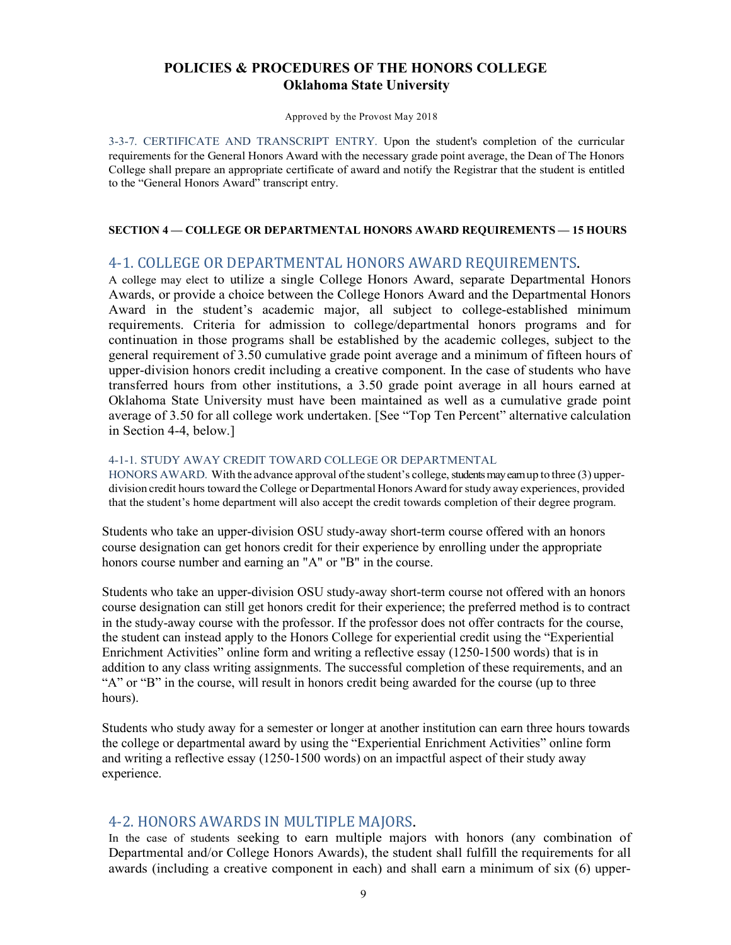Approved by the Provost May 2018

3-3-7. CERTIFICATE AND TRANSCRIPT ENTRY. Upon the student's completion of the curricular requirements for the General Honors Award with the necessary grade point average, the Dean of The Honors College shall prepare an appropriate certificate of award and notify the Registrar that the student is entitled to the "General Honors Award" transcript entry.

#### **SECTION 4 — COLLEGE OR DEPARTMENTAL HONORS AWARD REQUIREMENTS — 15 HOURS**

## 4-1. COLLEGE OR DEPARTMENTAL HONORS AWARD REQUIREMENTS.

A college may elect to utilize a single College Honors Award, separate Departmental Honors Awards, or provide a choice between the College Honors Award and the Departmental Honors Award in the student's academic major, all subject to college-established minimum requirements. Criteria for admission to college/departmental honors programs and for continuation in those programs shall be established by the academic colleges, subject to the general requirement of 3.50 cumulative grade point average and a minimum of fifteen hours of upper-division honors credit including a creative component. In the case of students who have transferred hours from other institutions, a 3.50 grade point average in all hours earned at Oklahoma State University must have been maintained as well as a cumulative grade point average of 3.50 for all college work undertaken. [See "Top Ten Percent" alternative calculation in Section 4-4, below.]

#### 4-1-1. STUDY AWAY CREDIT TOWARD COLLEGE OR DEPARTMENTAL

HONORS AWARD. With the advance approval of the student's college, students may earn up to three (3) upperdivision credit hours toward the College or Departmental Honors Award for study away experiences, provided that the student's home department will also accept the credit towards completion of their degree program.

Students who take an upper-division OSU study-away short-term course offered with an honors course designation can get honors credit for their experience by enrolling under the appropriate honors course number and earning an "A" or "B" in the course.

Students who take an upper-division OSU study-away short-term course not offered with an honors course designation can still get honors credit for their experience; the preferred method is to contract in the study-away course with the professor. If the professor does not offer contracts for the course, the student can instead apply to the Honors College for experiential credit using the "Experiential Enrichment Activities" online form and writing a reflective essay (1250-1500 words) that is in addition to any class writing assignments. The successful completion of these requirements, and an "A" or "B" in the course, will result in honors credit being awarded for the course (up to three hours).

Students who study away for a semester or longer at another institution can earn three hours towards the college or departmental award by using the "Experiential Enrichment Activities" online form and writing a reflective essay (1250-1500 words) on an impactful aspect of their study away experience.

## 4-2. HONORS AWARDS IN MULTIPLE MAJORS**.**

In the case of students seeking to earn multiple majors with honors (any combination of Departmental and/or College Honors Awards), the student shall fulfill the requirements for all awards (including a creative component in each) and shall earn a minimum of six (6) upper-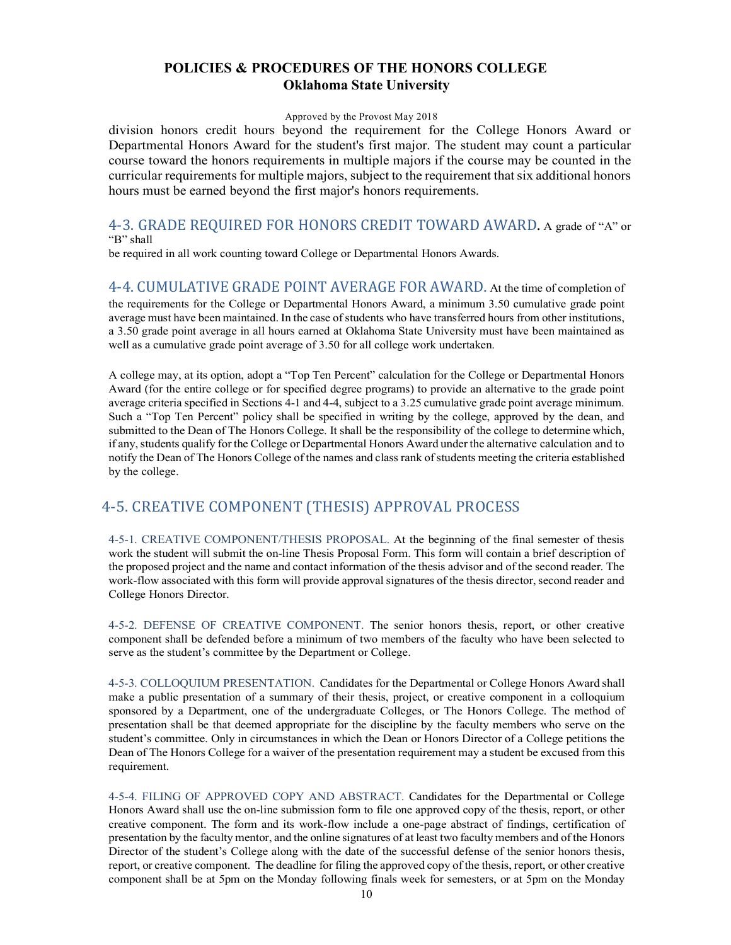#### Approved by the Provost May 2018

division honors credit hours beyond the requirement for the College Honors Award or Departmental Honors Award for the student's first major. The student may count a particular course toward the honors requirements in multiple majors if the course may be counted in the curricular requirements for multiple majors, subject to the requirement that six additional honors hours must be earned beyond the first major's honors requirements.

### 4-3. GRADE REQUIRED FOR HONORS CREDIT TOWARD AWARD. A grade of "A" or "B" shall

be required in all work counting toward College or Departmental Honors Awards.

4-4. CUMULATIVE GRADE POINT AVERAGE FOR AWARD. At the time of completion of the requirements for the College or Departmental Honors Award, a minimum 3.50 cumulative grade point average must have been maintained. In the case of students who have transferred hours from other institutions, a 3.50 grade point average in all hours earned at Oklahoma State University must have been maintained as well as a cumulative grade point average of 3.50 for all college work undertaken.

A college may, at its option, adopt a "Top Ten Percent" calculation for the College or Departmental Honors Award (for the entire college or for specified degree programs) to provide an alternative to the grade point average criteria specified in Sections 4-1 and 4-4, subject to a 3.25 cumulative grade point average minimum. Such a "Top Ten Percent" policy shall be specified in writing by the college, approved by the dean, and submitted to the Dean of The Honors College. It shall be the responsibility of the college to determine which, if any,students qualify for the College or Departmental Honors Award under the alternative calculation and to notify the Dean of The Honors College of the names and class rank of students meeting the criteria established by the college.

# 4-5. CREATIVE COMPONENT (THESIS) APPROVAL PROCESS

4-5-1. CREATIVE COMPONENT/THESIS PROPOSAL. At the beginning of the final semester of thesis work the student will submit the on-line Thesis Proposal Form. This form will contain a brief description of the proposed project and the name and contact information of the thesis advisor and of the second reader. The work-flow associated with this form will provide approval signatures of the thesis director,second reader and College Honors Director.

4-5-2. DEFENSE OF CREATIVE COMPONENT. The senior honors thesis, report, or other creative component shall be defended before a minimum of two members of the faculty who have been selected to serve as the student's committee by the Department or College.

4-5-3. COLLOQUIUM PRESENTATION. Candidates for the Departmental or College Honors Award shall make a public presentation of a summary of their thesis, project, or creative component in a colloquium sponsored by a Department, one of the undergraduate Colleges, or The Honors College. The method of presentation shall be that deemed appropriate for the discipline by the faculty members who serve on the student's committee. Only in circumstances in which the Dean or Honors Director of a College petitions the Dean of The Honors College for a waiver of the presentation requirement may a student be excused from this requirement.

4-5-4. FILING OF APPROVED COPY AND ABSTRACT. Candidates for the Departmental or College Honors Award shall use the on-line submission form to file one approved copy of the thesis, report, or other creative component. The form and its work-flow include a one-page abstract of findings, certification of presentation by the faculty mentor, and the online signatures of at least two faculty members and of the Honors Director of the student's College along with the date of the successful defense of the senior honors thesis, report, or creative component. The deadline for filing the approved copy of the thesis, report, or other creative component shall be at 5pm on the Monday following finals week for semesters, or at 5pm on the Monday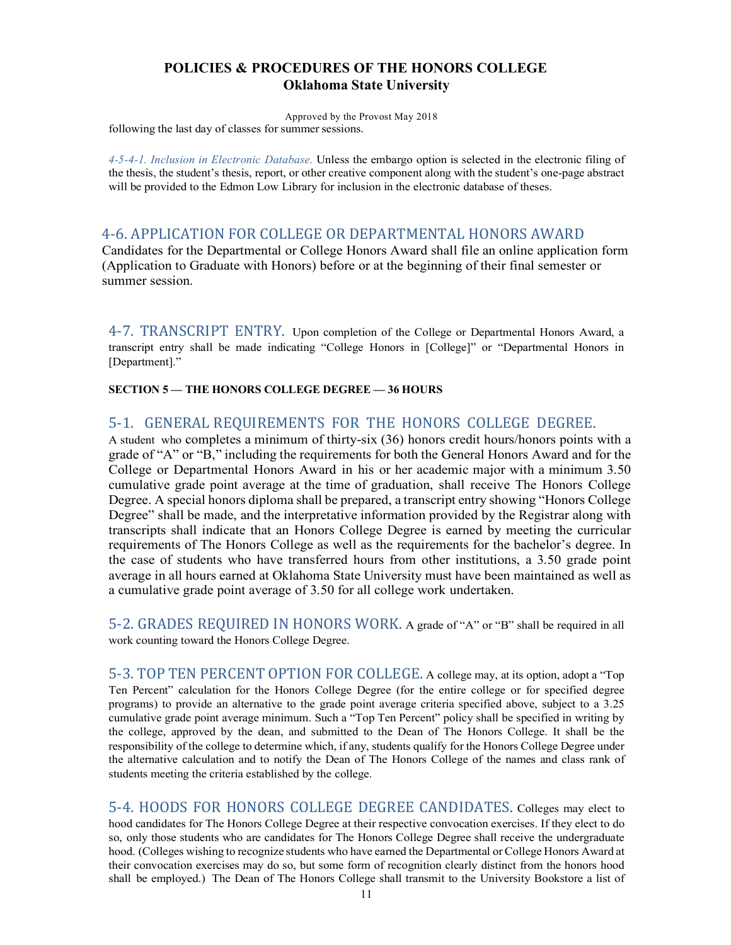Approved by the Provost May 2018 following the last day of classes for summer sessions.

*4-5-4-1. Inclusion in Electronic Database.* Unless the embargo option is selected in the electronic filing of the thesis, the student's thesis, report, or other creative component along with the student's one-page abstract will be provided to the Edmon Low Library for inclusion in the electronic database of theses.

## 4-6. APPLICATION FOR COLLEGE OR DEPARTMENTAL HONORS AWARD

Candidates for the Departmental or College Honors Award shall file an online application form (Application to Graduate with Honors) before or at the beginning of their final semester or summer session.

4-7. TRANSCRIPT ENTRY. Upon completion of the College or Departmental Honors Award, a transcript entry shall be made indicating "College Honors in [College]" or "Departmental Honors in [Department]."

**SECTION 5 — THE HONORS COLLEGE DEGREE — 36 HOURS**

## 5-1. GENERAL REQUIREMENTS FOR THE HONORS COLLEGE DEGREE.

A student who completes a minimum of thirty-six (36) honors credit hours/honors points with a grade of "A" or "B," including the requirements for both the General Honors Award and for the College or Departmental Honors Award in his or her academic major with a minimum 3.50 cumulative grade point average at the time of graduation, shall receive The Honors College Degree. A special honors diploma shall be prepared, a transcript entry showing "Honors College Degree" shall be made, and the interpretative information provided by the Registrar along with transcripts shall indicate that an Honors College Degree is earned by meeting the curricular requirements of The Honors College as well as the requirements for the bachelor's degree. In the case of students who have transferred hours from other institutions, a 3.50 grade point average in all hours earned at Oklahoma State University must have been maintained as well as a cumulative grade point average of 3.50 for all college work undertaken.

5-2. GRADES REQUIRED IN HONORS WORK. A grade of "A" or "B" shall be required in all work counting toward the Honors College Degree.

5-3. TOP TEN PERCENT OPTION FOR COLLEGE. A college may, at its option, adopt a "Top Ten Percent" calculation for the Honors College Degree (for the entire college or for specified degree programs) to provide an alternative to the grade point average criteria specified above, subject to a 3.25 cumulative grade point average minimum. Such a "Top Ten Percent" policy shall be specified in writing by the college, approved by the dean, and submitted to the Dean of The Honors College. It shall be the responsibility of the college to determine which, if any, students qualify for the Honors College Degree under the alternative calculation and to notify the Dean of The Honors College of the names and class rank of students meeting the criteria established by the college.

5-4. HOODS FOR HONORS COLLEGE DEGREE CANDIDATES. Colleges may elect to hood candidates for The Honors College Degree at their respective convocation exercises. If they elect to do so, only those students who are candidates for The Honors College Degree shall receive the undergraduate hood. (Colleges wishing to recognize students who have earned the Departmental or College Honors Award at their convocation exercises may do so, but some form of recognition clearly distinct from the honors hood shall be employed.) The Dean of The Honors College shall transmit to the University Bookstore a list of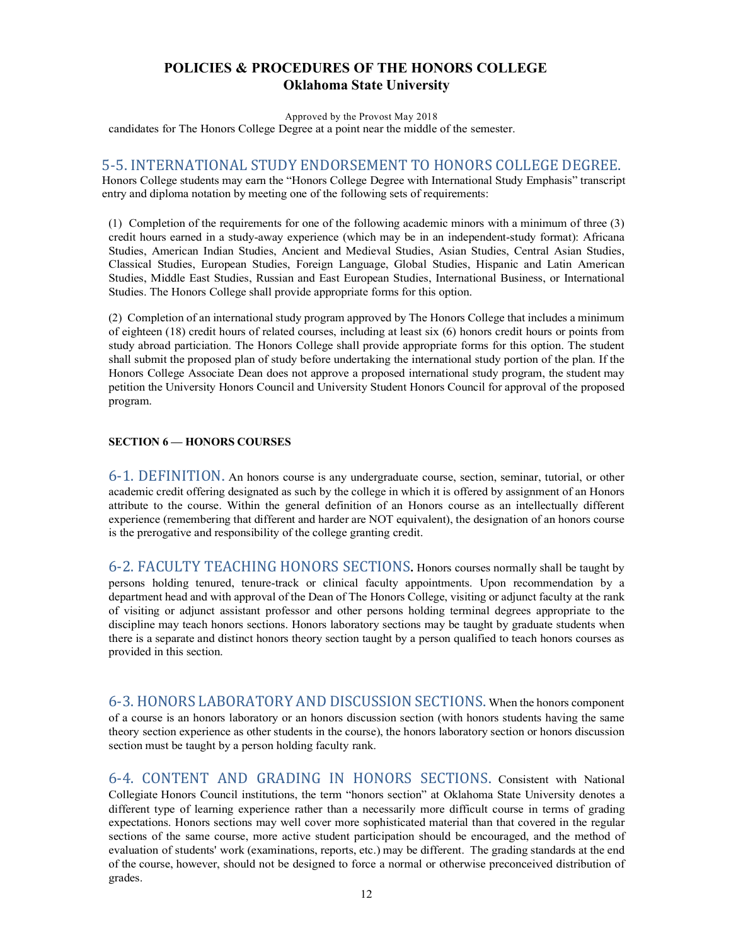Approved by the Provost May 2018

candidates for The Honors College Degree at a point near the middle of the semester.

### 5-5. INTERNATIONAL STUDY ENDORSEMENT TO HONORS COLLEGE DEGREE.

Honors College students may earn the "Honors College Degree with International Study Emphasis" transcript entry and diploma notation by meeting one of the following sets of requirements:

(1) Completion of the requirements for one of the following academic minors with a minimum of three (3) credit hours earned in a study-away experience (which may be in an independent-study format): Africana Studies, American Indian Studies, Ancient and Medieval Studies, Asian Studies, Central Asian Studies, Classical Studies, European Studies, Foreign Language, Global Studies, Hispanic and Latin American Studies, Middle East Studies, Russian and East European Studies, International Business, or International Studies. The Honors College shall provide appropriate forms for this option.

(2) Completion of an international study program approved by The Honors College that includes a minimum of eighteen (18) credit hours of related courses, including at least six (6) honors credit hours or points from study abroad particiation. The Honors College shall provide appropriate forms for this option. The student shall submit the proposed plan of study before undertaking the international study portion of the plan. If the Honors College Associate Dean does not approve a proposed international study program, the student may petition the University Honors Council and University Student Honors Council for approval of the proposed program.

#### **SECTION 6 — HONORS COURSES**

6-1. DEFINITION**.** An honors course is any undergraduate course, section, seminar, tutorial, or other academic credit offering designated as such by the college in which it is offered by assignment of an Honors attribute to the course. Within the general definition of an Honors course as an intellectually different experience (remembering that different and harder are NOT equivalent), the designation of an honors course is the prerogative and responsibility of the college granting credit.

6-2. FACULTY TEACHING HONORS SECTIONS**.** Honors courses normally shall be taught by persons holding tenured, tenure-track or clinical faculty appointments. Upon recommendation by a department head and with approval of the Dean of The Honors College, visiting or adjunct faculty at the rank of visiting or adjunct assistant professor and other persons holding terminal degrees appropriate to the discipline may teach honors sections. Honors laboratory sections may be taught by graduate students when there is a separate and distinct honors theory section taught by a person qualified to teach honors courses as provided in this section.

6-3. HONORS LABORATORY AND DISCUSSION SECTIONS**.** When the honors component of a course is an honors laboratory or an honors discussion section (with honors students having the same theory section experience as other students in the course), the honors laboratory section or honors discussion section must be taught by a person holding faculty rank.

6-4. CONTENT AND GRADING IN HONORS SECTIONS**.** Consistent with National Collegiate Honors Council institutions, the term "honors section" at Oklahoma State University denotes a different type of learning experience rather than a necessarily more difficult course in terms of grading expectations. Honors sections may well cover more sophisticated material than that covered in the regular sections of the same course, more active student participation should be encouraged, and the method of evaluation of students' work (examinations, reports, etc.) may be different. The grading standards at the end of the course, however, should not be designed to force a normal or otherwise preconceived distribution of grades.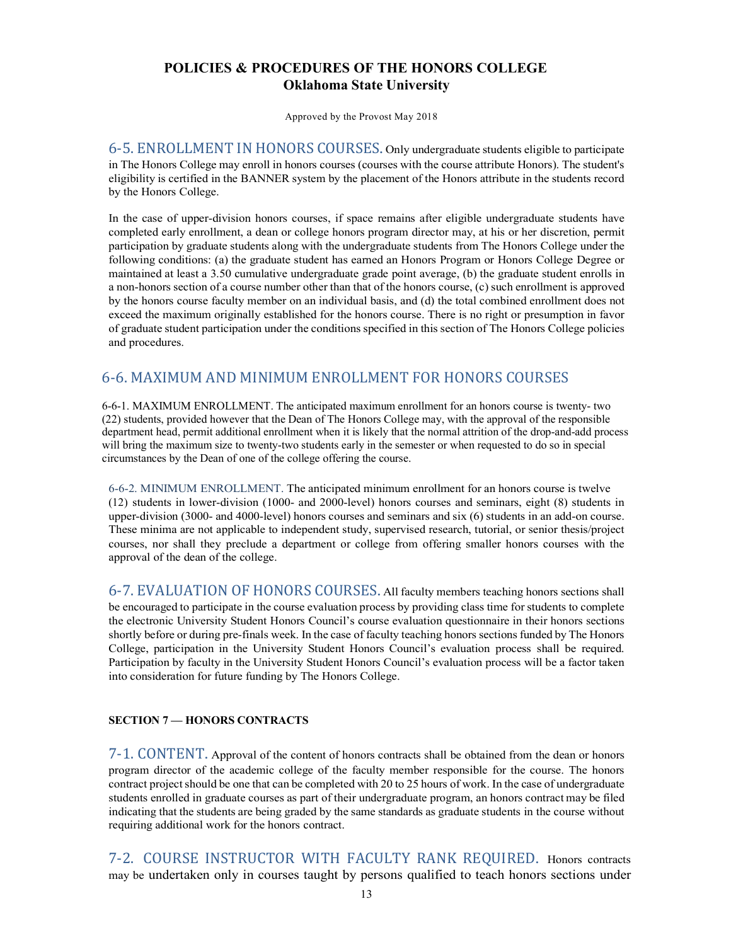Approved by the Provost May 2018

6-5. ENROLLMENT IN HONORS COURSES. Only undergraduate students eligible to participate in The Honors College may enroll in honors courses (courses with the course attribute Honors). The student's eligibility is certified in the BANNER system by the placement of the Honors attribute in the students record by the Honors College.

In the case of upper-division honors courses, if space remains after eligible undergraduate students have completed early enrollment, a dean or college honors program director may, at his or her discretion, permit participation by graduate students along with the undergraduate students from The Honors College under the following conditions: (a) the graduate student has earned an Honors Program or Honors College Degree or maintained at least a 3.50 cumulative undergraduate grade point average, (b) the graduate student enrolls in a non-honors section of a course number other than that of the honors course, (c) such enrollment is approved by the honors course faculty member on an individual basis, and (d) the total combined enrollment does not exceed the maximum originally established for the honors course. There is no right or presumption in favor of graduate student participation under the conditions specified in this section of The Honors College policies and procedures.

# 6-6. MAXIMUM AND MINIMUM ENROLLMENT FOR HONORS COURSES

6-6-1. MAXIMUM ENROLLMENT. The anticipated maximum enrollment for an honors course is twenty- two (22) students, provided however that the Dean of The Honors College may, with the approval of the responsible department head, permit additional enrollment when it is likely that the normal attrition of the drop-and-add process will bring the maximum size to twenty-two students early in the semester or when requested to do so in special circumstances by the Dean of one of the college offering the course.

6-6-2. MINIMUM ENROLLMENT. The anticipated minimum enrollment for an honors course is twelve (12) students in lower-division (1000- and 2000-level) honors courses and seminars, eight (8) students in upper-division (3000- and 4000-level) honors courses and seminars and six (6) students in an add-on course. These minima are not applicable to independent study, supervised research, tutorial, or senior thesis/project courses, nor shall they preclude a department or college from offering smaller honors courses with the approval of the dean of the college.

6-7. EVALUATION OF HONORS COURSES. All faculty members teaching honors sections shall be encouraged to participate in the course evaluation process by providing class time for students to complete the electronic University Student Honors Council's course evaluation questionnaire in their honors sections shortly before or during pre-finals week. In the case of faculty teaching honors sections funded by The Honors College, participation in the University Student Honors Council's evaluation process shall be required. Participation by faculty in the University Student Honors Council's evaluation process will be a factor taken into consideration for future funding by The Honors College.

## **SECTION 7 — HONORS CONTRACTS**

7-1. CONTENT**.** Approval of the content of honors contracts shall be obtained from the dean or honors program director of the academic college of the faculty member responsible for the course. The honors contract project should be one that can be completed with 20 to 25 hours of work. In the case of undergraduate students enrolled in graduate courses as part of their undergraduate program, an honors contract may be filed indicating that the students are being graded by the same standards as graduate students in the course without requiring additional work for the honors contract.

7-2. COURSE INSTRUCTOR WITH FACULTY RANK REQUIRED. Honors contracts may be undertaken only in courses taught by persons qualified to teach honors sections under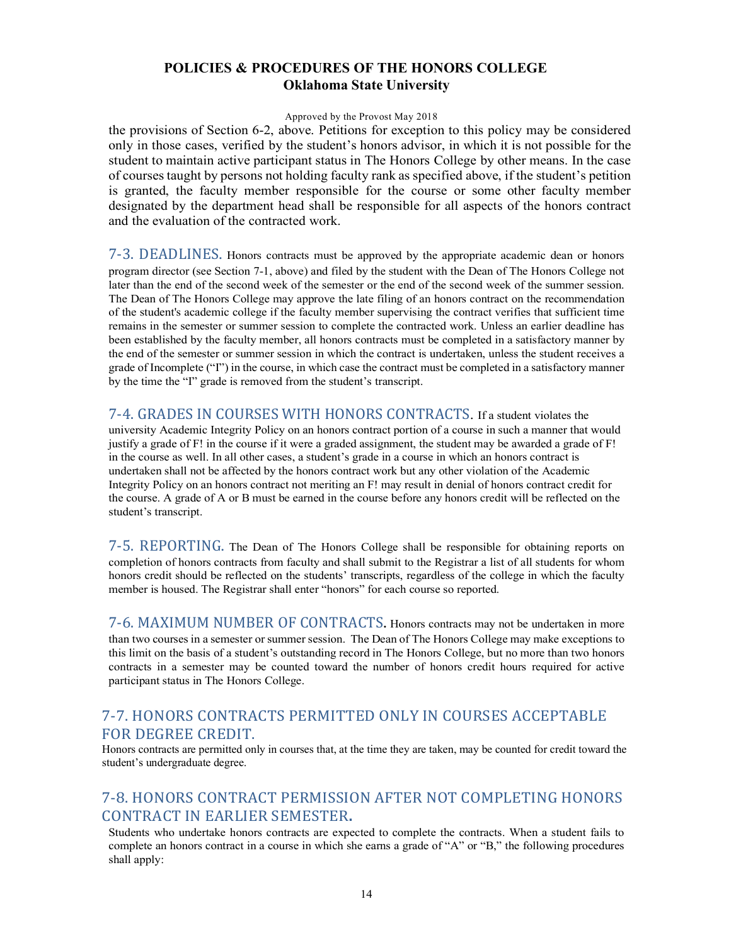#### Approved by the Provost May 2018

the provisions of Section 6-2, above. Petitions for exception to this policy may be considered only in those cases, verified by the student's honors advisor, in which it is not possible for the student to maintain active participant status in The Honors College by other means. In the case of courses taught by persons not holding faculty rank as specified above, if the student's petition is granted, the faculty member responsible for the course or some other faculty member designated by the department head shall be responsible for all aspects of the honors contract and the evaluation of the contracted work.

7-3. DEADLINES**.** Honors contracts must be approved by the appropriate academic dean or honors program director (see Section 7-1, above) and filed by the student with the Dean of The Honors College not later than the end of the second week of the semester or the end of the second week of the summer session. The Dean of The Honors College may approve the late filing of an honors contract on the recommendation of the student's academic college if the faculty member supervising the contract verifies that sufficient time remains in the semester or summer session to complete the contracted work. Unless an earlier deadline has been established by the faculty member, all honors contracts must be completed in a satisfactory manner by the end of the semester or summer session in which the contract is undertaken, unless the student receives a grade of Incomplete ("I") in the course, in which case the contract must be completed in a satisfactory manner by the time the "I" grade is removed from the student's transcript.

7-4. GRADES IN COURSES WITH HONORS CONTRACTS. If a student violates the university Academic Integrity Policy on an honors contract portion of a course in such a manner that would justify a grade of F! in the course if it were a graded assignment, the student may be awarded a grade of F! in the course as well. In all other cases, a student's grade in a course in which an honors contract is undertaken shall not be affected by the honors contract work but any other violation of the Academic Integrity Policy on an honors contract not meriting an F! may result in denial of honors contract credit for the course. A grade of A or B must be earned in the course before any honors credit will be reflected on the student's transcript.

7-5. REPORTING**.** The Dean of The Honors College shall be responsible for obtaining reports on completion of honors contracts from faculty and shall submit to the Registrar a list of all students for whom honors credit should be reflected on the students' transcripts, regardless of the college in which the faculty member is housed. The Registrar shall enter "honors" for each course so reported.

7-6. MAXIMUM NUMBER OF CONTRACTS. Honors contracts may not be undertaken in more than two courses in a semester or summer session. The Dean of The Honors College may make exceptions to this limit on the basis of a student's outstanding record in The Honors College, but no more than two honors contracts in a semester may be counted toward the number of honors credit hours required for active participant status in The Honors College.

# 7-7. HONORS CONTRACTS PERMITTED ONLY IN COURSES ACCEPTABLE FOR DEGREE CREDIT.

Honors contracts are permitted only in courses that, at the time they are taken, may be counted for credit toward the student's undergraduate degree.

# 7-8. HONORS CONTRACT PERMISSION AFTER NOT COMPLETING HONORS **CONTRACT IN EARLIER SEMESTER.**

Students who undertake honors contracts are expected to complete the contracts. When a student fails to complete an honors contract in a course in which she earns a grade of "A" or "B," the following procedures shall apply: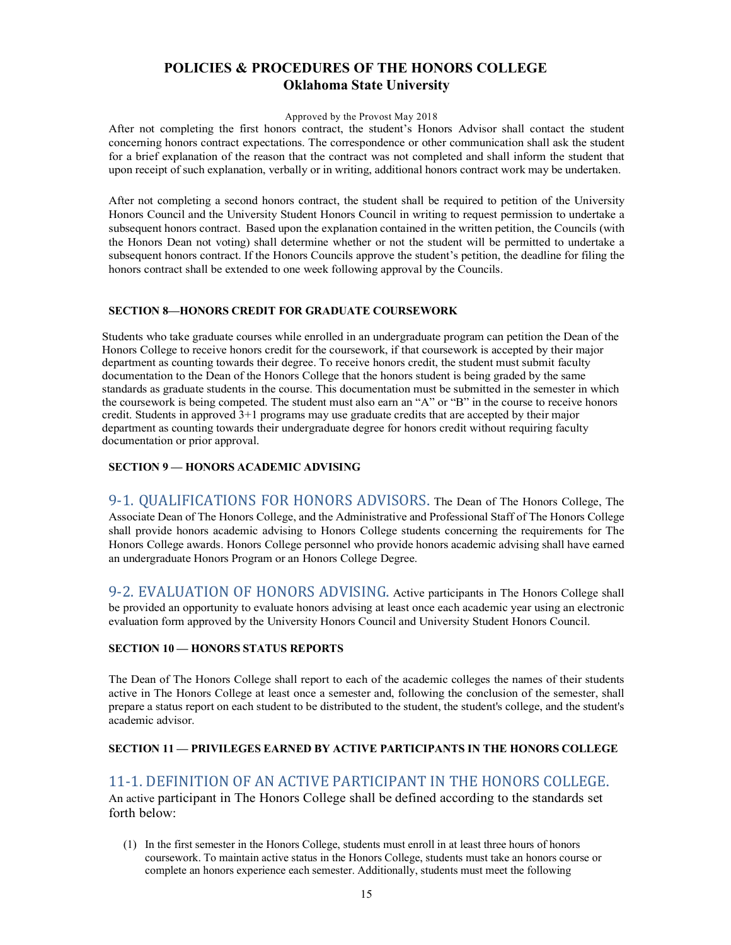#### Approved by the Provost May 2018

After not completing the first honors contract, the student's Honors Advisor shall contact the student concerning honors contract expectations. The correspondence or other communication shall ask the student for a brief explanation of the reason that the contract was not completed and shall inform the student that upon receipt of such explanation, verbally or in writing, additional honors contract work may be undertaken.

After not completing a second honors contract, the student shall be required to petition of the University Honors Council and the University Student Honors Council in writing to request permission to undertake a subsequent honors contract. Based upon the explanation contained in the written petition, the Councils (with the Honors Dean not voting) shall determine whether or not the student will be permitted to undertake a subsequent honors contract. If the Honors Councils approve the student's petition, the deadline for filing the honors contract shall be extended to one week following approval by the Councils.

### **SECTION 8—HONORS CREDIT FOR GRADUATE COURSEWORK**

Students who take graduate courses while enrolled in an undergraduate program can petition the Dean of the Honors College to receive honors credit for the coursework, if that coursework is accepted by their major department as counting towards their degree. To receive honors credit, the student must submit faculty documentation to the Dean of the Honors College that the honors student is being graded by the same standards as graduate students in the course. This documentation must be submitted in the semester in which the coursework is being competed. The student must also earn an "A" or "B" in the course to receive honors credit. Students in approved 3+1 programs may use graduate credits that are accepted by their major department as counting towards their undergraduate degree for honors credit without requiring faculty documentation or prior approval.

### **SECTION 9 — HONORS ACADEMIC ADVISING**

9-1. QUALIFICATIONS FOR HONORS ADVISORS. The Dean of The Honors College, The Associate Dean of The Honors College, and the Administrative and Professional Staff of The Honors College shall provide honors academic advising to Honors College students concerning the requirements for The Honors College awards. Honors College personnel who provide honors academic advising shall have earned an undergraduate Honors Program or an Honors College Degree.

9-2. EVALUATION OF HONORS ADVISING. Active participants in The Honors College shall be provided an opportunity to evaluate honors advising at least once each academic year using an electronic evaluation form approved by the University Honors Council and University Student Honors Council.

### **SECTION 10 — HONORS STATUS REPORTS**

The Dean of The Honors College shall report to each of the academic colleges the names of their students active in The Honors College at least once a semester and, following the conclusion of the semester, shall prepare a status report on each student to be distributed to the student, the student's college, and the student's academic advisor.

## **SECTION 11 — PRIVILEGES EARNED BY ACTIVE PARTICIPANTS IN THE HONORS COLLEGE**

## 11-1. DEFINITION OF AN ACTIVE PARTICIPANT IN THE HONORS COLLEGE.

An active participant in The Honors College shall be defined according to the standards set forth below:

(1) In the first semester in the Honors College, students must enroll in at least three hours of honors coursework. To maintain active status in the Honors College, students must take an honors course or complete an honors experience each semester. Additionally, students must meet the following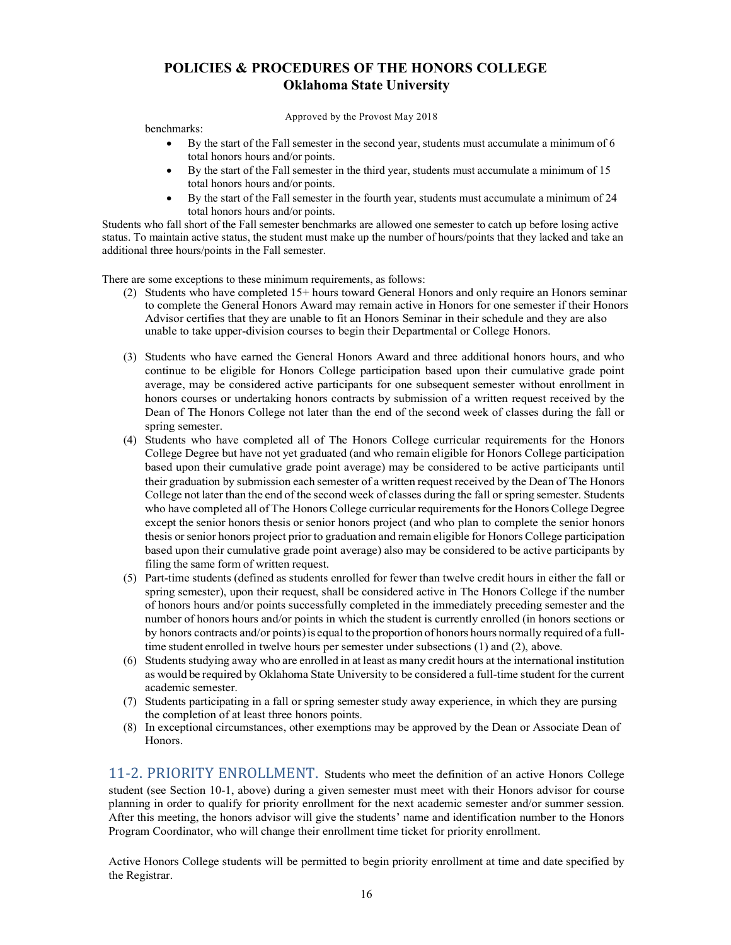Approved by the Provost May 2018

benchmarks:

- By the start of the Fall semester in the second year, students must accumulate a minimum of 6 total honors hours and/or points.
- By the start of the Fall semester in the third year, students must accumulate a minimum of 15 total honors hours and/or points.
- By the start of the Fall semester in the fourth year, students must accumulate a minimum of 24 total honors hours and/or points.

Students who fall short of the Fall semester benchmarks are allowed one semester to catch up before losing active status. To maintain active status, the student must make up the number of hours/points that they lacked and take an additional three hours/points in the Fall semester.

There are some exceptions to these minimum requirements, as follows:

- (2) Students who have completed 15+ hours toward General Honors and only require an Honors seminar to complete the General Honors Award may remain active in Honors for one semester if their Honors Advisor certifies that they are unable to fit an Honors Seminar in their schedule and they are also unable to take upper-division courses to begin their Departmental or College Honors.
- (3) Students who have earned the General Honors Award and three additional honors hours, and who continue to be eligible for Honors College participation based upon their cumulative grade point average, may be considered active participants for one subsequent semester without enrollment in honors courses or undertaking honors contracts by submission of a written request received by the Dean of The Honors College not later than the end of the second week of classes during the fall or spring semester.
- (4) Students who have completed all of The Honors College curricular requirements for the Honors College Degree but have not yet graduated (and who remain eligible for Honors College participation based upon their cumulative grade point average) may be considered to be active participants until their graduation by submission each semester of a written request received by the Dean of The Honors College not later than the end of the second week of classes during the fall or spring semester. Students who have completed all of The Honors College curricular requirements for the Honors College Degree except the senior honors thesis or senior honors project (and who plan to complete the senior honors thesis or senior honors project prior to graduation and remain eligible for Honors College participation based upon their cumulative grade point average) also may be considered to be active participants by filing the same form of written request.
- (5) Part-time students (defined as students enrolled for fewer than twelve credit hours in either the fall or spring semester), upon their request, shall be considered active in The Honors College if the number of honors hours and/or points successfully completed in the immediately preceding semester and the number of honors hours and/or points in which the student is currently enrolled (in honors sections or by honors contracts and/or points)is equal to the proportion ofhonors hours normally required of a fulltime student enrolled in twelve hours per semester under subsections (1) and (2), above.
- (6) Students studying away who are enrolled in at least as many credit hours at the international institution as would be required by Oklahoma State University to be considered a full-time student for the current academic semester.
- (7) Students participating in a fall or spring semester study away experience, in which they are pursing the completion of at least three honors points.
- (8) In exceptional circumstances, other exemptions may be approved by the Dean or Associate Dean of Honors.

11-2. PRIORITY ENROLLMENT. Students who meet the definition of an active Honors College student (see Section 10-1, above) during a given semester must meet with their Honors advisor for course planning in order to qualify for priority enrollment for the next academic semester and/or summer session. After this meeting, the honors advisor will give the students' name and identification number to the Honors Program Coordinator, who will change their enrollment time ticket for priority enrollment.

Active Honors College students will be permitted to begin priority enrollment at time and date specified by the Registrar.